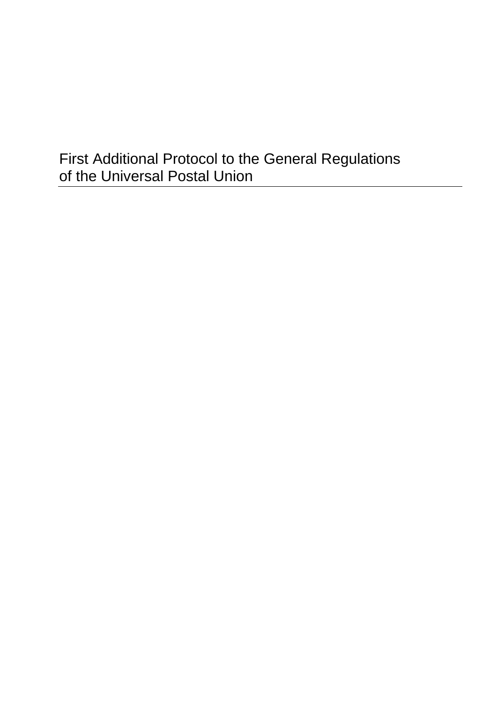# First Additional Protocol to the General Regulations of the Universal Postal Union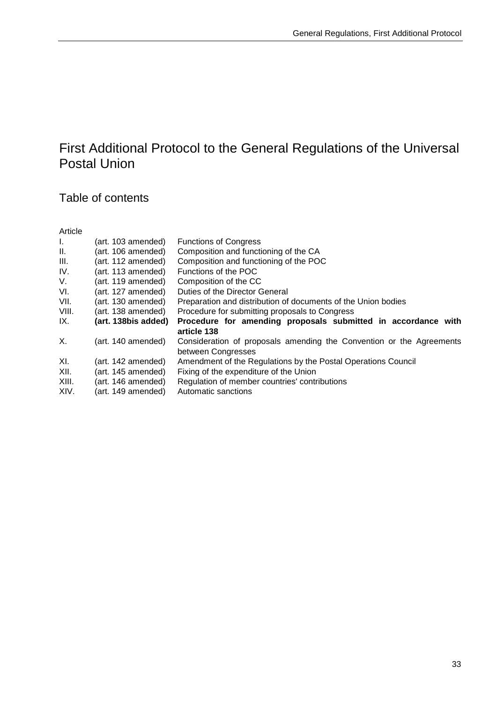## First Additional Protocol to the General Regulations of the Universal Postal Union

## Table of contents

| Article |                     |                                                                      |
|---------|---------------------|----------------------------------------------------------------------|
| Ι.      | (art. 103 amended)  | <b>Functions of Congress</b>                                         |
| II.     | (art. 106 amended)  | Composition and functioning of the CA                                |
| III.    | (art. 112 amended)  | Composition and functioning of the POC                               |
| IV.     | (art. 113 amended)  | Functions of the POC                                                 |
| V.      | (art. 119 amended)  | Composition of the CC                                                |
| VI.     | (art. 127 amended)  | Duties of the Director General                                       |
| VII.    | (art. 130 amended)  | Preparation and distribution of documents of the Union bodies        |
| VIII.   | (art. 138 amended)  | Procedure for submitting proposals to Congress                       |
| IX.     | (art. 138bis added) | Procedure for amending proposals submitted in accordance with        |
|         |                     | article 138                                                          |
| Х.      | (art. 140 amended)  | Consideration of proposals amending the Convention or the Agreements |
|         |                     | between Congresses                                                   |
| XI.     | (art. 142 amended)  | Amendment of the Regulations by the Postal Operations Council        |
| XII.    | (art. 145 amended)  | Fixing of the expenditure of the Union                               |
| XIII.   | (art. 146 amended)  | Regulation of member countries' contributions                        |
| XIV.    | (art. 149 amended)  | Automatic sanctions                                                  |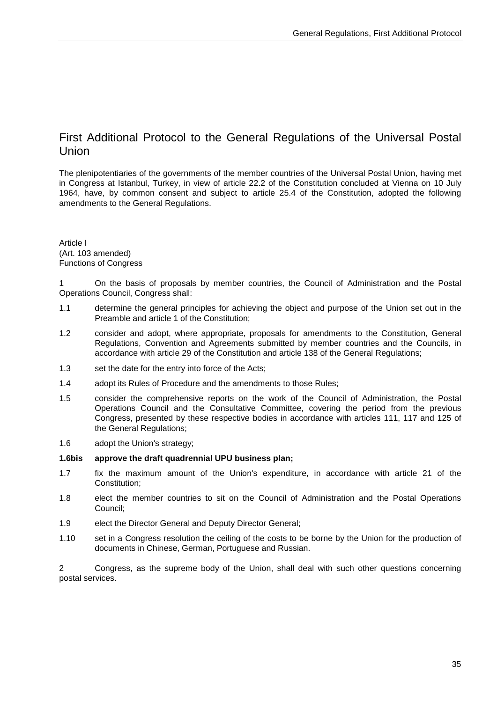### First Additional Protocol to the General Regulations of the Universal Postal Union

The plenipotentiaries of the governments of the member countries of the Universal Postal Union, having met in Congress at Istanbul, Turkey, in view of article 22.2 of the Constitution concluded at Vienna on 10 July 1964, have, by common consent and subject to article 25.4 of the Constitution, adopted the following amendments to the General Regulations.

Article I (Art. 103 amended) Functions of Congress

1 On the basis of proposals by member countries, the Council of Administration and the Postal Operations Council, Congress shall:

- 1.1 determine the general principles for achieving the object and purpose of the Union set out in the Preamble and article 1 of the Constitution;
- 1.2 consider and adopt, where appropriate, proposals for amendments to the Constitution, General Regulations, Convention and Agreements submitted by member countries and the Councils, in accordance with article 29 of the Constitution and article 138 of the General Regulations;
- 1.3 set the date for the entry into force of the Acts;
- 1.4 adopt its Rules of Procedure and the amendments to those Rules;
- 1.5 consider the comprehensive reports on the work of the Council of Administration, the Postal Operations Council and the Consultative Committee, covering the period from the previous Congress, presented by these respective bodies in accordance with articles 111, 117 and 125 of the General Regulations;
- 1.6 adopt the Union's strategy;

#### **1.6bis approve the draft quadrennial UPU business plan;**

- 1.7 fix the maximum amount of the Union's expenditure, in accordance with article 21 of the Constitution;
- 1.8 elect the member countries to sit on the Council of Administration and the Postal Operations Council;
- 1.9 elect the Director General and Deputy Director General;
- 1.10 set in a Congress resolution the ceiling of the costs to be borne by the Union for the production of documents in Chinese, German, Portuguese and Russian.

2 Congress, as the supreme body of the Union, shall deal with such other questions concerning postal services.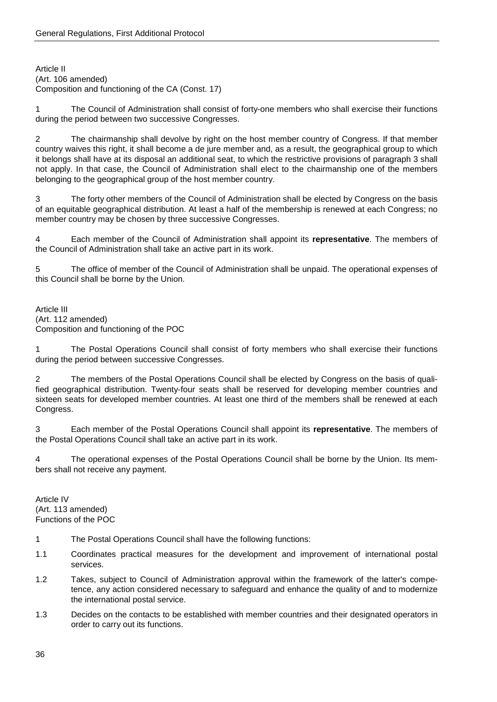Article II (Art. 106 amended) Composition and functioning of the CA (Const. 17)

1 The Council of Administration shall consist of forty-one members who shall exercise their functions during the period between two successive Congresses.

2 The chairmanship shall devolve by right on the host member country of Congress. If that member country waives this right, it shall become a de jure member and, as a result, the geographical group to which it belongs shall have at its disposal an additional seat, to which the restrictive provisions of paragraph 3 shall not apply. In that case, the Council of Administration shall elect to the chairmanship one of the members belonging to the geographical group of the host member country.

3 The forty other members of the Council of Administration shall be elected by Congress on the basis of an equitable geographical distribution. At least a half of the membership is renewed at each Congress; no member country may be chosen by three successive Congresses.

4 Each member of the Council of Administration shall appoint its **representative**. The members of the Council of Administration shall take an active part in its work.

5 The office of member of the Council of Administration shall be unpaid. The operational expenses of this Council shall be borne by the Union.

Article III (Art. 112 amended) Composition and functioning of the POC

1 The Postal Operations Council shall consist of forty members who shall exercise their functions during the period between successive Congresses.

2 The members of the Postal Operations Council shall be elected by Congress on the basis of qualified geographical distribution. Twenty-four seats shall be reserved for developing member countries and sixteen seats for developed member countries. At least one third of the members shall be renewed at each Congress.

3 Each member of the Postal Operations Council shall appoint its **representative**. The members of the Postal Operations Council shall take an active part in its work.

4 The operational expenses of the Postal Operations Council shall be borne by the Union. Its members shall not receive any payment.

Article IV (Art. 113 amended) Functions of the POC

- 1 The Postal Operations Council shall have the following functions:
- 1.1 Coordinates practical measures for the development and improvement of international postal services.
- 1.2 Takes, subject to Council of Administration approval within the framework of the latter's competence, any action considered necessary to safeguard and enhance the quality of and to modernize the international postal service.
- 1.3 Decides on the contacts to be established with member countries and their designated operators in order to carry out its functions.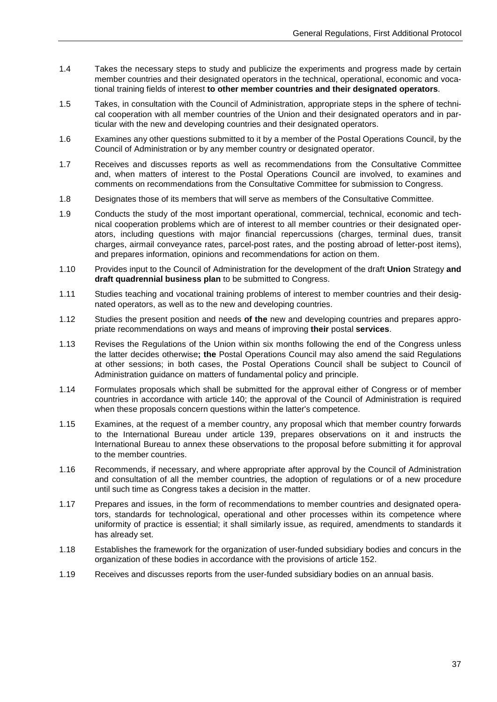- 1.4 Takes the necessary steps to study and publicize the experiments and progress made by certain member countries and their designated operators in the technical, operational, economic and vocational training fields of interest **to other member countries and their designated operators**.
- 1.5 Takes, in consultation with the Council of Administration, appropriate steps in the sphere of technical cooperation with all member countries of the Union and their designated operators and in particular with the new and developing countries and their designated operators.
- 1.6 Examines any other questions submitted to it by a member of the Postal Operations Council, by the Council of Administration or by any member country or designated operator.
- 1.7 Receives and discusses reports as well as recommendations from the Consultative Committee and, when matters of interest to the Postal Operations Council are involved, to examines and comments on recommendations from the Consultative Committee for submission to Congress.
- 1.8 Designates those of its members that will serve as members of the Consultative Committee.
- 1.9 Conducts the study of the most important operational, commercial, technical, economic and technical cooperation problems which are of interest to all member countries or their designated operators, including questions with major financial repercussions (charges, terminal dues, transit charges, airmail conveyance rates, parcel-post rates, and the posting abroad of letter-post items), and prepares information, opinions and recommendations for action on them.
- 1.10 Provides input to the Council of Administration for the development of the draft **Union** Strategy **and draft quadrennial business plan** to be submitted to Congress.
- 1.11 Studies teaching and vocational training problems of interest to member countries and their designated operators, as well as to the new and developing countries.
- 1.12 Studies the present position and needs **of the** new and developing countries and prepares appropriate recommendations on ways and means of improving **their** postal **services**.
- 1.13 Revises the Regulations of the Union within six months following the end of the Congress unless the latter decides otherwise**; the** Postal Operations Council may also amend the said Regulations at other sessions; in both cases, the Postal Operations Council shall be subject to Council of Administration guidance on matters of fundamental policy and principle.
- 1.14 Formulates proposals which shall be submitted for the approval either of Congress or of member countries in accordance with article 140; the approval of the Council of Administration is required when these proposals concern questions within the latter's competence.
- 1.15 Examines, at the request of a member country, any proposal which that member country forwards to the International Bureau under article 139, prepares observations on it and instructs the International Bureau to annex these observations to the proposal before submitting it for approval to the member countries.
- 1.16 Recommends, if necessary, and where appropriate after approval by the Council of Administration and consultation of all the member countries, the adoption of regulations or of a new procedure until such time as Congress takes a decision in the matter.
- 1.17 Prepares and issues, in the form of recommendations to member countries and designated operators, standards for technological, operational and other processes within its competence where uniformity of practice is essential; it shall similarly issue, as required, amendments to standards it has already set.
- 1.18 Establishes the framework for the organization of user-funded subsidiary bodies and concurs in the organization of these bodies in accordance with the provisions of article 152.
- 1.19 Receives and discusses reports from the user-funded subsidiary bodies on an annual basis.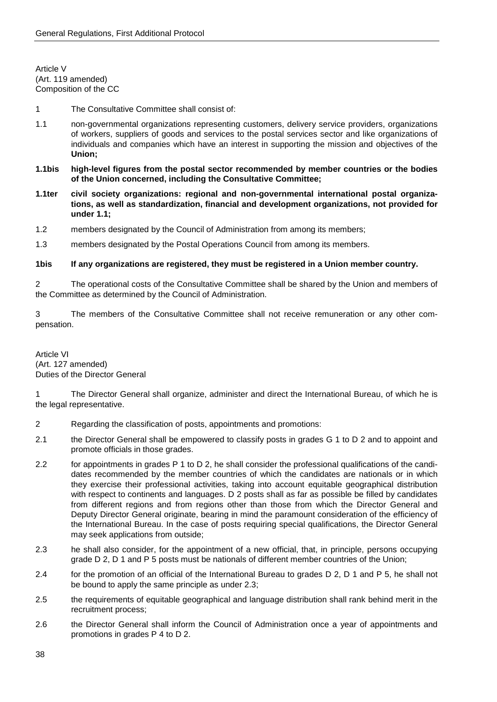Article V (Art. 119 amended) Composition of the CC

1 The Consultative Committee shall consist of:

- 1.1 non-governmental organizations representing customers, delivery service providers, organizations of workers, suppliers of goods and services to the postal services sector and like organizations of individuals and companies which have an interest in supporting the mission and objectives of the **Union;**
- **1.1bis high-level figures from the postal sector recommended by member countries or the bodies of the Union concerned, including the Consultative Committee;**
- **1.1ter civil society organizations: regional and non-governmental international postal organizations, as well as standardization, financial and development organizations, not provided for under 1.1;**
- 1.2 members designated by the Council of Administration from among its members;
- 1.3 members designated by the Postal Operations Council from among its members.

#### **1bis If any organizations are registered, they must be registered in a Union member country.**

2 The operational costs of the Consultative Committee shall be shared by the Union and members of the Committee as determined by the Council of Administration.

3 The members of the Consultative Committee shall not receive remuneration or any other compensation.

Article VI (Art. 127 amended) Duties of the Director General

1 The Director General shall organize, administer and direct the International Bureau, of which he is the legal representative.

- 2 Regarding the classification of posts, appointments and promotions:
- 2.1 the Director General shall be empowered to classify posts in grades G 1 to D 2 and to appoint and promote officials in those grades.
- 2.2 for appointments in grades P 1 to D 2, he shall consider the professional qualifications of the candidates recommended by the member countries of which the candidates are nationals or in which they exercise their professional activities, taking into account equitable geographical distribution with respect to continents and languages. D 2 posts shall as far as possible be filled by candidates from different regions and from regions other than those from which the Director General and Deputy Director General originate, bearing in mind the paramount consideration of the efficiency of the International Bureau. In the case of posts requiring special qualifications, the Director General may seek applications from outside;
- 2.3 he shall also consider, for the appointment of a new official, that, in principle, persons occupying grade D 2, D 1 and P 5 posts must be nationals of different member countries of the Union;
- 2.4 for the promotion of an official of the International Bureau to grades D 2, D 1 and P 5, he shall not be bound to apply the same principle as under 2.3;
- 2.5 the requirements of equitable geographical and language distribution shall rank behind merit in the recruitment process;
- 2.6 the Director General shall inform the Council of Administration once a year of appointments and promotions in grades P 4 to D 2.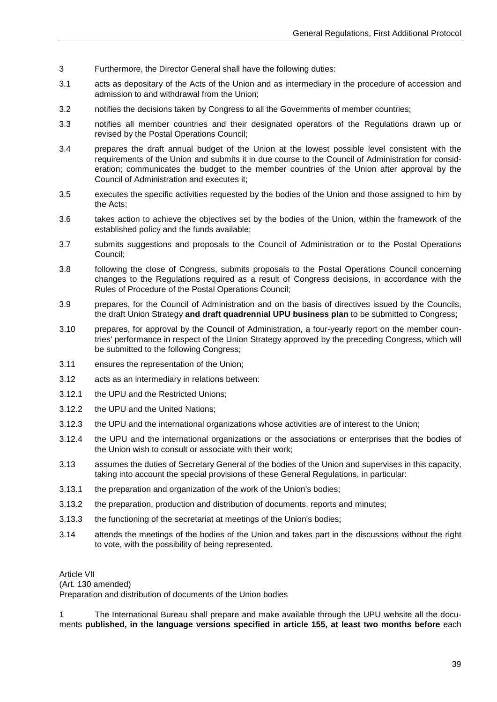- 3 Furthermore, the Director General shall have the following duties:
- 3.1 acts as depositary of the Acts of the Union and as intermediary in the procedure of accession and admission to and withdrawal from the Union;
- 3.2 notifies the decisions taken by Congress to all the Governments of member countries;
- 3.3 notifies all member countries and their designated operators of the Regulations drawn up or revised by the Postal Operations Council;
- 3.4 prepares the draft annual budget of the Union at the lowest possible level consistent with the requirements of the Union and submits it in due course to the Council of Administration for consideration; communicates the budget to the member countries of the Union after approval by the Council of Administration and executes it;
- 3.5 executes the specific activities requested by the bodies of the Union and those assigned to him by the Acts;
- 3.6 takes action to achieve the objectives set by the bodies of the Union, within the framework of the established policy and the funds available;
- 3.7 submits suggestions and proposals to the Council of Administration or to the Postal Operations Council;
- 3.8 following the close of Congress, submits proposals to the Postal Operations Council concerning changes to the Regulations required as a result of Congress decisions, in accordance with the Rules of Procedure of the Postal Operations Council;
- 3.9 prepares, for the Council of Administration and on the basis of directives issued by the Councils, the draft Union Strategy **and draft quadrennial UPU business plan** to be submitted to Congress;
- 3.10 prepares, for approval by the Council of Administration, a four-yearly report on the member countries' performance in respect of the Union Strategy approved by the preceding Congress, which will be submitted to the following Congress;
- 3.11 ensures the representation of the Union;
- 3.12 acts as an intermediary in relations between:
- 3.12.1 the UPU and the Restricted Unions;
- 3.12.2 the UPU and the United Nations;
- 3.12.3 the UPU and the international organizations whose activities are of interest to the Union;
- 3.12.4 the UPU and the international organizations or the associations or enterprises that the bodies of the Union wish to consult or associate with their work;
- 3.13 assumes the duties of Secretary General of the bodies of the Union and supervises in this capacity, taking into account the special provisions of these General Regulations, in particular:
- 3.13.1 the preparation and organization of the work of the Union's bodies;
- 3.13.2 the preparation, production and distribution of documents, reports and minutes;
- 3.13.3 the functioning of the secretariat at meetings of the Union's bodies;
- 3.14 attends the meetings of the bodies of the Union and takes part in the discussions without the right to vote, with the possibility of being represented.

Article VII

(Art. 130 amended)

Preparation and distribution of documents of the Union bodies

1 The International Bureau shall prepare and make available through the UPU website all the documents **published, in the language versions specified in article 155, at least two months before** each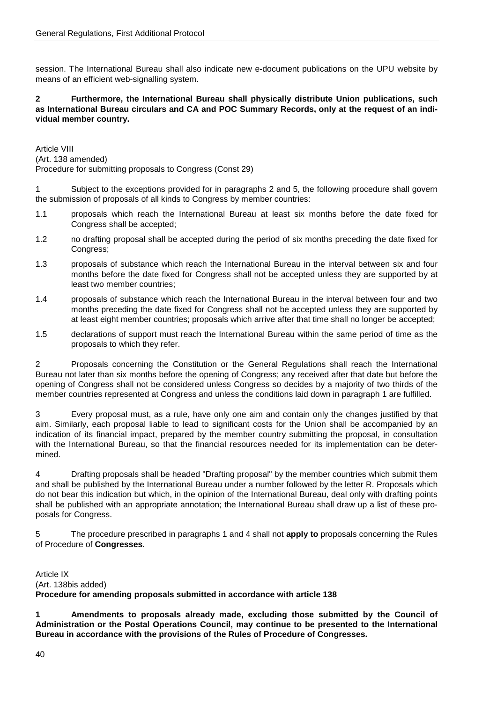session. The International Bureau shall also indicate new e-document publications on the UPU website by means of an efficient web-signalling system.

#### **2 Furthermore, the International Bureau shall physically distribute Union publications, such as International Bureau circulars and CA and POC Summary Records, only at the request of an individual member country.**

Article VIII (Art. 138 amended) Procedure for submitting proposals to Congress (Const 29)

1 Subject to the exceptions provided for in paragraphs 2 and 5, the following procedure shall govern the submission of proposals of all kinds to Congress by member countries:

- 1.1 proposals which reach the International Bureau at least six months before the date fixed for Congress shall be accepted;
- 1.2 no drafting proposal shall be accepted during the period of six months preceding the date fixed for Congress:
- 1.3 proposals of substance which reach the International Bureau in the interval between six and four months before the date fixed for Congress shall not be accepted unless they are supported by at least two member countries;
- 1.4 proposals of substance which reach the International Bureau in the interval between four and two months preceding the date fixed for Congress shall not be accepted unless they are supported by at least eight member countries; proposals which arrive after that time shall no longer be accepted;
- 1.5 declarations of support must reach the International Bureau within the same period of time as the proposals to which they refer.

2 Proposals concerning the Constitution or the General Regulations shall reach the International Bureau not later than six months before the opening of Congress; any received after that date but before the opening of Congress shall not be considered unless Congress so decides by a majority of two thirds of the member countries represented at Congress and unless the conditions laid down in paragraph 1 are fulfilled.

3 Every proposal must, as a rule, have only one aim and contain only the changes justified by that aim. Similarly, each proposal liable to lead to significant costs for the Union shall be accompanied by an indication of its financial impact, prepared by the member country submitting the proposal, in consultation with the International Bureau, so that the financial resources needed for its implementation can be determined.

4 Drafting proposals shall be headed "Drafting proposal" by the member countries which submit them and shall be published by the International Bureau under a number followed by the letter R. Proposals which do not bear this indication but which, in the opinion of the International Bureau, deal only with drafting points shall be published with an appropriate annotation; the International Bureau shall draw up a list of these proposals for Congress.

5 The procedure prescribed in paragraphs 1 and 4 shall not **apply to** proposals concerning the Rules of Procedure of **Congresses**.

Article IX (Art. 138bis added) **Procedure for amending proposals submitted in accordance with article 138**

**1 Amendments to proposals already made, excluding those submitted by the Council of Administration or the Postal Operations Council, may continue to be presented to the International Bureau in accordance with the provisions of the Rules of Procedure of Congresses.**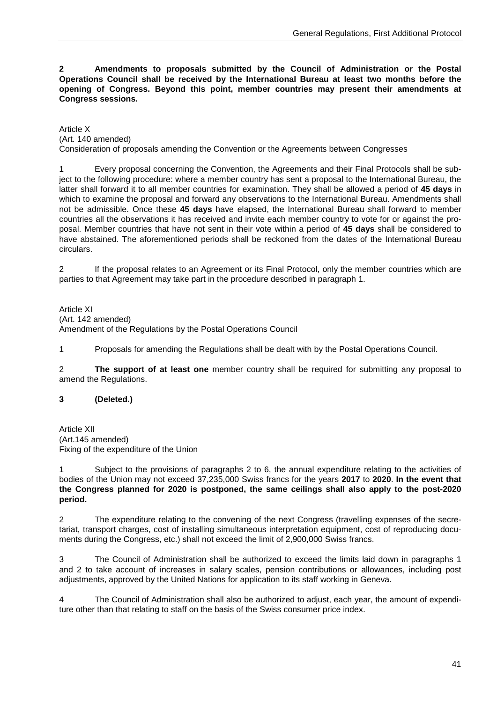**2 Amendments to proposals submitted by the Council of Administration or the Postal Operations Council shall be received by the International Bureau at least two months before the opening of Congress. Beyond this point, member countries may present their amendments at Congress sessions.**

Article X (Art. 140 amended) Consideration of proposals amending the Convention or the Agreements between Congresses

1 Every proposal concerning the Convention, the Agreements and their Final Protocols shall be subject to the following procedure: where a member country has sent a proposal to the International Bureau, the latter shall forward it to all member countries for examination. They shall be allowed a period of **45 days** in which to examine the proposal and forward any observations to the International Bureau. Amendments shall not be admissible. Once these **45 days** have elapsed, the International Bureau shall forward to member countries all the observations it has received and invite each member country to vote for or against the proposal. Member countries that have not sent in their vote within a period of **45 days** shall be considered to have abstained. The aforementioned periods shall be reckoned from the dates of the International Bureau circulars.

2 If the proposal relates to an Agreement or its Final Protocol, only the member countries which are parties to that Agreement may take part in the procedure described in paragraph 1.

Article XI (Art. 142 amended) Amendment of the Regulations by the Postal Operations Council

1 Proposals for amending the Regulations shall be dealt with by the Postal Operations Council.

2 **The support of at least one** member country shall be required for submitting any proposal to amend the Regulations.

#### **3 (Deleted.)**

Article XII (Art.145 amended) Fixing of the expenditure of the Union

1 Subject to the provisions of paragraphs 2 to 6, the annual expenditure relating to the activities of bodies of the Union may not exceed 37,235,000 Swiss francs for the years **2017** to **2020**. **In the event that the Congress planned for 2020 is postponed, the same ceilings shall also apply to the post-2020 period.**

2 The expenditure relating to the convening of the next Congress (travelling expenses of the secretariat, transport charges, cost of installing simultaneous interpretation equipment, cost of reproducing documents during the Congress, etc.) shall not exceed the limit of 2,900,000 Swiss francs.

3 The Council of Administration shall be authorized to exceed the limits laid down in paragraphs 1 and 2 to take account of increases in salary scales, pension contributions or allowances, including post adjustments, approved by the United Nations for application to its staff working in Geneva.

4 The Council of Administration shall also be authorized to adjust, each year, the amount of expenditure other than that relating to staff on the basis of the Swiss consumer price index.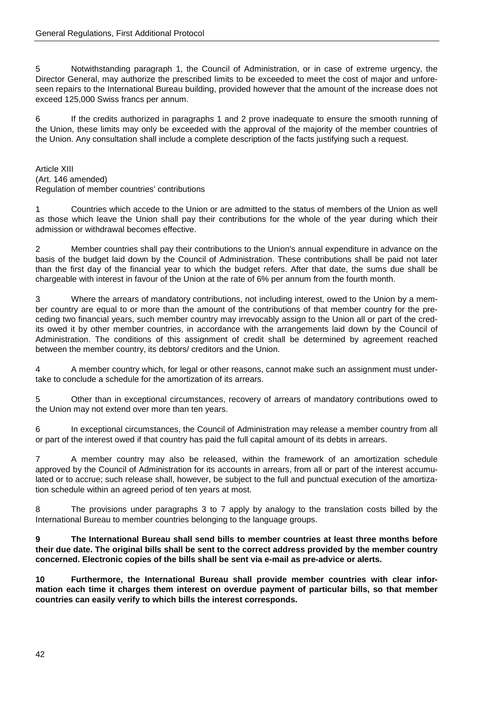5 Notwithstanding paragraph 1, the Council of Administration, or in case of extreme urgency, the Director General, may authorize the prescribed limits to be exceeded to meet the cost of major and unforeseen repairs to the International Bureau building, provided however that the amount of the increase does not exceed 125,000 Swiss francs per annum.

6 If the credits authorized in paragraphs 1 and 2 prove inadequate to ensure the smooth running of the Union, these limits may only be exceeded with the approval of the majority of the member countries of the Union. Any consultation shall include a complete description of the facts justifying such a request.

Article XIII (Art. 146 amended) Regulation of member countries' contributions

1 Countries which accede to the Union or are admitted to the status of members of the Union as well as those which leave the Union shall pay their contributions for the whole of the year during which their admission or withdrawal becomes effective.

2 Member countries shall pay their contributions to the Union's annual expenditure in advance on the basis of the budget laid down by the Council of Administration. These contributions shall be paid not later than the first day of the financial year to which the budget refers. After that date, the sums due shall be chargeable with interest in favour of the Union at the rate of 6% per annum from the fourth month.

3 Where the arrears of mandatory contributions, not including interest, owed to the Union by a member country are equal to or more than the amount of the contributions of that member country for the preceding two financial years, such member country may irrevocably assign to the Union all or part of the credits owed it by other member countries, in accordance with the arrangements laid down by the Council of Administration. The conditions of this assignment of credit shall be determined by agreement reached between the member country, its debtors/ creditors and the Union.

4 A member country which, for legal or other reasons, cannot make such an assignment must undertake to conclude a schedule for the amortization of its arrears.

5 Other than in exceptional circumstances, recovery of arrears of mandatory contributions owed to the Union may not extend over more than ten years.

6 In exceptional circumstances, the Council of Administration may release a member country from all or part of the interest owed if that country has paid the full capital amount of its debts in arrears.

7 A member country may also be released, within the framework of an amortization schedule approved by the Council of Administration for its accounts in arrears, from all or part of the interest accumulated or to accrue; such release shall, however, be subject to the full and punctual execution of the amortization schedule within an agreed period of ten years at most.

8 The provisions under paragraphs 3 to 7 apply by analogy to the translation costs billed by the International Bureau to member countries belonging to the language groups.

**9 The International Bureau shall send bills to member countries at least three months before their due date. The original bills shall be sent to the correct address provided by the member country concerned. Electronic copies of the bills shall be sent via e-mail as pre-advice or alerts.**

**10 Furthermore, the International Bureau shall provide member countries with clear information each time it charges them interest on overdue payment of particular bills, so that member countries can easily verify to which bills the interest corresponds.**